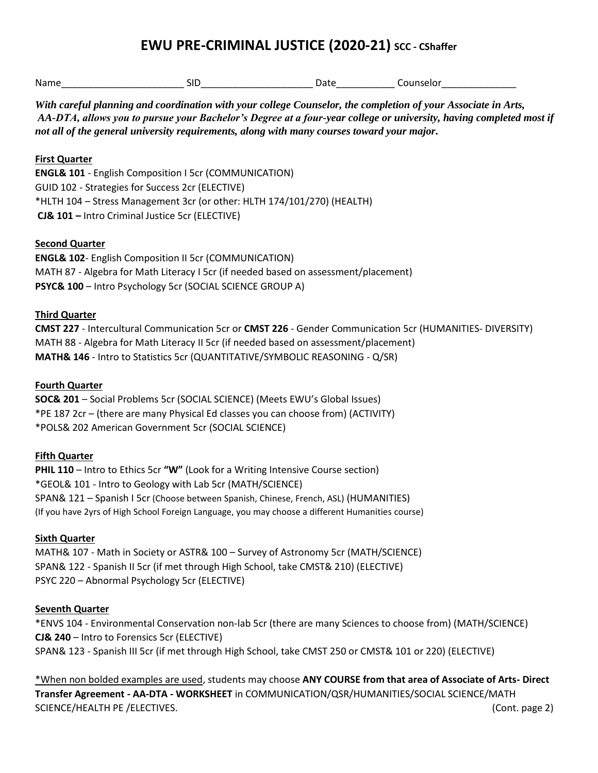# **EWU PRE-CRIMINAL JUSTICE (2020-21) SCC - CShaffer**

| Nam |  | - --<br>. |
|-----|--|-----------|
|     |  |           |

*With careful planning and coordination with your college Counselor, the completion of your Associate in Arts, AA-DTA, allows you to pursue your Bachelor's Degree at a four-year college or university, having completed most if not all of the general university requirements, along with many courses toward your major.* 

## **First Quarter**

**ENGL& 101** - English Composition I 5cr (COMMUNICATION) GUID 102 - Strategies for Success 2cr (ELECTIVE) \*HLTH 104 – Stress Management 3cr (or other: HLTH 174/101/270) (HEALTH) **CJ& 101 –** Intro Criminal Justice 5cr (ELECTIVE)

## **Second Quarter**

**ENGL& 102**- English Composition II 5cr (COMMUNICATION) MATH 87 - Algebra for Math Literacy I 5cr (if needed based on assessment/placement) **PSYC& 100** – Intro Psychology 5cr (SOCIAL SCIENCE GROUP A)

## **Third Quarter**

**CMST 227** - Intercultural Communication 5cr or **CMST 226** - Gender Communication 5cr (HUMANITIES- DIVERSITY) MATH 88 - Algebra for Math Literacy II 5cr (if needed based on assessment/placement) **MATH& 146** - Intro to Statistics 5cr (QUANTITATIVE/SYMBOLIC REASONING - Q/SR)

## **Fourth Quarter**

**SOC& 201** – Social Problems 5cr (SOCIAL SCIENCE) (Meets EWU's Global Issues) \*PE 187 2cr – (there are many Physical Ed classes you can choose from) (ACTIVITY) \*POLS& 202 American Government 5cr (SOCIAL SCIENCE)

## **Fifth Quarter**

**PHIL 110** – Intro to Ethics 5cr **"W"** (Look for a Writing Intensive Course section) \*GEOL& 101 - Intro to Geology with Lab 5cr (MATH/SCIENCE) SPAN& 121 – Spanish I 5cr (Choose between Spanish, Chinese, French, ASL) (HUMANITIES) (If you have 2yrs of High School Foreign Language, you may choose a different Humanities course)

## **Sixth Quarter**

MATH& 107 - Math in Society or ASTR& 100 – Survey of Astronomy 5cr (MATH/SCIENCE) SPAN& 122 - Spanish II 5cr (if met through High School, take CMST& 210) (ELECTIVE) PSYC 220 – Abnormal Psychology 5cr (ELECTIVE)

## **Seventh Quarter**

\*ENVS 104 - Environmental Conservation non-lab 5cr (there are many Sciences to choose from) (MATH/SCIENCE) **CJ& 240** – Intro to Forensics 5cr (ELECTIVE) SPAN& 123 - Spanish III 5cr (if met through High School, take CMST 250 or CMST& 101 or 220) (ELECTIVE)

\*When non bolded examples are used, students may choose **ANY COURSE from that area of Associate of Arts- Direct Transfer Agreement - AA-DTA - WORKSHEET** in COMMUNICATION/QSR/HUMANITIES/SOCIAL SCIENCE/MATH SCIENCE/HEALTH PE /ELECTIVES. (Cont. page 2)